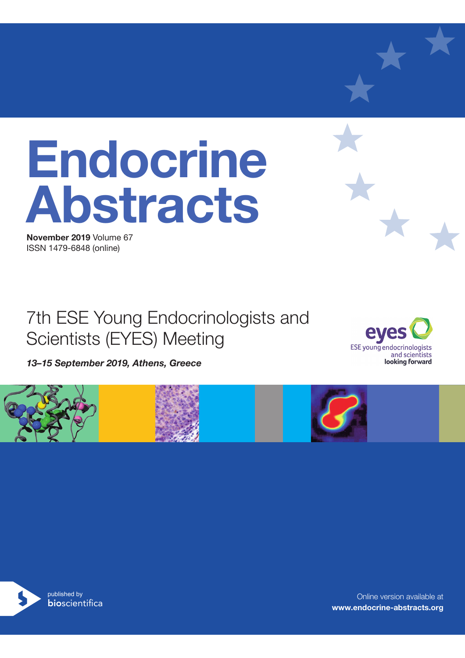# **Endocrine Abstracts**

**November 2019** Volume 67 ISSN 1479-6848 (online)

## 7th ESE Young Endocrinologists and Scientists (EYES) Meeting

*13–15 September 2019, Athens, Greece*





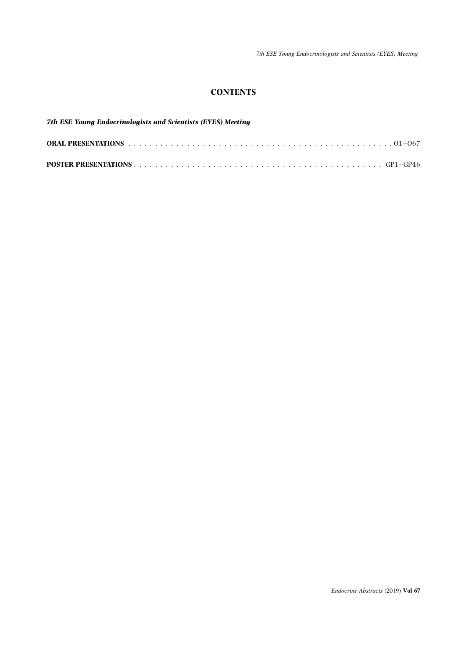7th ESE Young Endocrinologists and Scientists (EYES) Meeting

## **CONTENTS**

| <b>7th ESE Young Endocrinologists and Scientists (EYES) Meeting</b> |  |
|---------------------------------------------------------------------|--|
|                                                                     |  |
|                                                                     |  |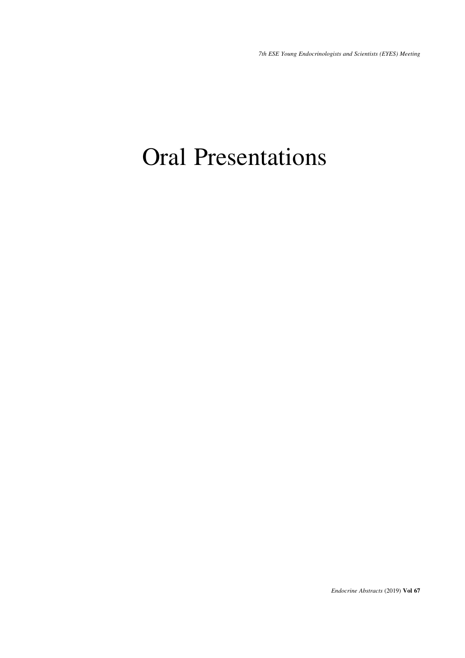7th ESE Young Endocrinologists and Scientists (EYES) Meeting

# Oral Presentations